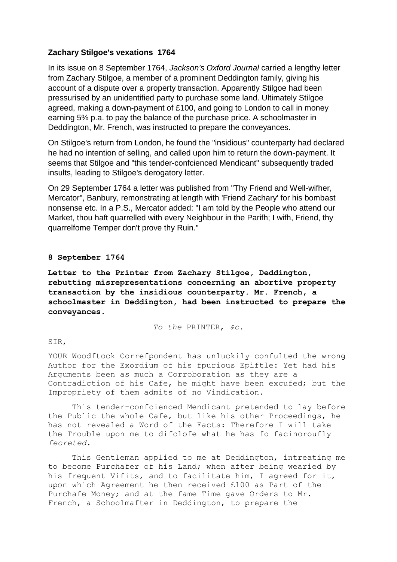# **Zachary Stilgoe's vexations 1764**

In its issue on 8 September 1764, *Jackson's Oxford Journal* carried a lengthy letter from Zachary Stilgoe, a member of a prominent Deddington family, giving his account of a dispute over a property transaction. Apparently Stilgoe had been pressurised by an unidentified party to purchase some land. Ultimately Stilgoe agreed, making a down-payment of £100, and going to London to call in money earning 5% p.a. to pay the balance of the purchase price. A schoolmaster in Deddington, Mr. French, was instructed to prepare the conveyances.

On Stilgoe's return from London, he found the "insidious" counterparty had declared he had no intention of selling, and called upon him to return the down-payment. It seems that Stilgoe and "this tender-confcienced Mendicant" subsequently traded insults, leading to Stilgoe's derogatory letter.

On 29 September 1764 a letter was published from "Thy Friend and Well-wifher, Mercator", Banbury, remonstrating at length with 'Friend Zachary' for his bombast nonsense etc. In a P.S., Mercator added: "I am told by the People who attend our Market, thou haft quarrelled with every Neighbour in the Parifh; I wifh, Friend, thy quarrelfome Temper don't prove thy Ruin."

## **8 September 1764**

**Letter to the Printer from Zachary Stilgoe, Deddington, rebutting misrepresentations concerning an abortive property transaction by the insidious counterparty. Mr. French, a schoolmaster in Deddington, had been instructed to prepare the conveyances.**

*To the* PRINTER, *&c*.

## SIR,

YOUR Woodftock Correfpondent has unluckily confulted the wrong Author for the Exordium of his fpurious Epiftle: Yet had his Arguments been as much a Corroboration as they are a Contradiction of his Cafe, he might have been excufed; but the Impropriety of them admits of no Vindication.

This tender-confcienced Mendicant pretended to lay before the Public the whole Cafe, but like his other Proceedings, he has not revealed a Word of the Facts: Therefore I will take the Trouble upon me to difclofe what he has fo facinoroufly *fecreted*.

This Gentleman applied to me at Deddington, intreating me to become Purchafer of his Land; when after being wearied by his frequent Vifits, and to facilitate him, I agreed for it, upon which Agreement he then received £100 as Part of the Purchafe Money; and at the fame Time gave Orders to Mr. French, a Schoolmafter in Deddington, to prepare the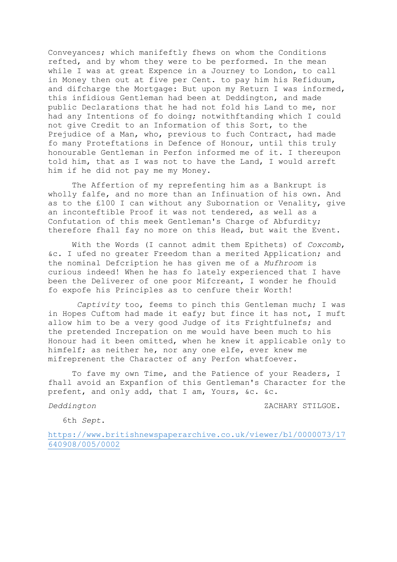Conveyances; which manifeftly fhews on whom the Conditions refted, and by whom they were to be performed. In the mean while I was at great Expence in a Journey to London, to call in Money then out at five per Cent. to pay him his Refiduum, and difcharge the Mortgage: But upon my Return I was informed, this infidious Gentleman had been at Deddington, and made public Declarations that he had not fold his Land to me, nor had any Intentions of fo doing; notwithftanding which I could not give Credit to an Information of this Sort, to the Prejudice of a Man, who, previous to fuch Contract, had made fo many Proteftations in Defence of Honour, until this truly honourable Gentleman in Perfon informed me of it. I thereupon told him, that as I was not to have the Land, I would arreft him if he did not pay me my Money.

The Affertion of my reprefenting him as a Bankrupt is wholly falfe, and no more than an Infinuation of his own. And as to the £100 I can without any Subornation or Venality, give an inconteftible Proof it was not tendered, as well as a Confutation of this meek Gentleman's Charge of Abfurdity; therefore fhall fay no more on this Head, but wait the Event.

With the Words (I cannot admit them Epithets) of *Coxcomb*, &c. I ufed no greater Freedom than a merited Application; and the nominal Defcription he has given me of a *Mufhroom* is curious indeed! When he has fo lately experienced that I have been the Deliverer of one poor Mifcreant, I wonder he fhould fo expofe his Principles as to cenfure their Worth!

*Captivity* too, feems to pinch this Gentleman much; I was in Hopes Cuftom had made it eafy; but fince it has not, I muft allow him to be a very good Judge of its Frightfulnefs; and the pretended Increpation on me would have been much to his Honour had it been omitted, when he knew it applicable only to himfelf; as neither he, nor any one elfe, ever knew me mifreprenent the Character of any Perfon whatfoever.

To fave my own Time, and the Patience of your Readers, I fhall avoid an Expanfion of this Gentleman's Character for the prefent, and only add, that I am, Yours, &c. &c.

*Deddington* ZACHARY STILGOE.

6th *Sept*.

[https://www.britishnewspaperarchive.co.uk/viewer/bl/0000073/17](https://www.britishnewspaperarchive.co.uk/viewer/bl/0000073/17640908/005/0002) [640908/005/0002](https://www.britishnewspaperarchive.co.uk/viewer/bl/0000073/17640908/005/0002)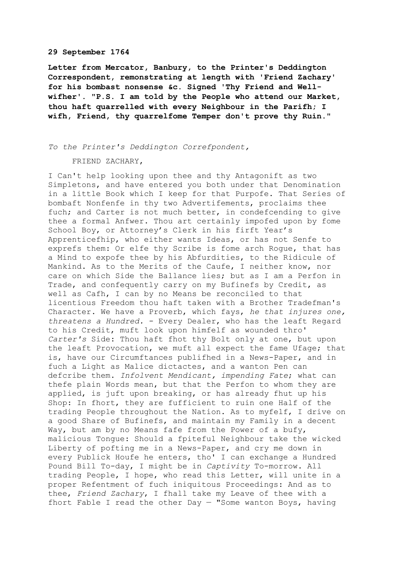#### **29 September 1764**

**Letter from Mercator, Banbury, to the Printer's Deddington Correspondent, remonstrating at length with 'Friend Zachary' for his bombast nonsense &c. Signed 'Thy Friend and Wellwifher'. "P.S. I am told by the People who attend our Market, thou haft quarrelled with every Neighbour in the Parifh; I wifh, Friend, thy quarrelfome Temper don't prove thy Ruin."**

### *To the Printer's Deddington Correfpondent,*

#### FRIEND ZACHARY,

I Can't help looking upon thee and thy Antagonift as two Simpletons, and have entered you both under that Denomination in a little Book which I keep for that Purpofe. That Series of bombaft Nonfenfe in thy two Advertifements, proclaims thee fuch; and Carter is not much better, in condefcending to give thee a formal Anfwer. Thou art certainly impofed upon by fome School Boy, or Attorney's Clerk in his firft Year's Apprenticefhip, who either wants Ideas, or has not Senfe to exprefs them: Or elfe thy Scribe is fome arch Rogue, that has a Mind to expofe thee by his Abfurdities, to the Ridicule of Mankind. As to the Merits of the Caufe, I neither know, nor care on which Side the Ballance lies; but as I am a Perfon in Trade, and confequently carry on my Bufinefs by Credit, as well as Cafh, I can by no Means be reconciled to that licentious Freedom thou haft taken with a Brother Tradefman's Character. We have a Proverb, which fays, *he that injures one, threatens a Hundred.* - Every Dealer, who has the leaft Regard to his Credit, muft look upon himfelf as wounded thro' *Carter's* Side: Thou haft fhot thy Bolt only at one, but upon the leaft Provocation, we muft all expect the fame Ufage; that is, have our Circumftances publifhed in a News-Paper, and in fuch a Light as Malice dictactes, and a wanton Pen can defcribe them. *Infolvent Mendicant, impending Fate*; what can thefe plain Words mean, but that the Perfon to whom they are applied, is juft upon breaking, or has already fhut up his Shop: In fhort, they are fufficient to ruin one Half of the trading People throughout the Nation. As to myfelf, I drive on a good Share of Bufinefs, and maintain my Family in a decent Way, but am by no Means fafe from the Power of a bufy, malicious Tongue: Should a fpiteful Neighbour take the wicked Liberty of pofting me in a News-Paper, and cry me down in every Publick Houfe he enters, tho' I can exchange a Hundred Pound Bill To-day, I might be in *Captivity* To-morrow. All trading People, I hope, who read this Letter, will unite in a proper Refentment of fuch iniquitous Proceedings: And as to thee, *Friend Zachary*, I fhall take my Leave of thee with a fhort Fable I read the other Day  $-$  "Some wanton Boys, having